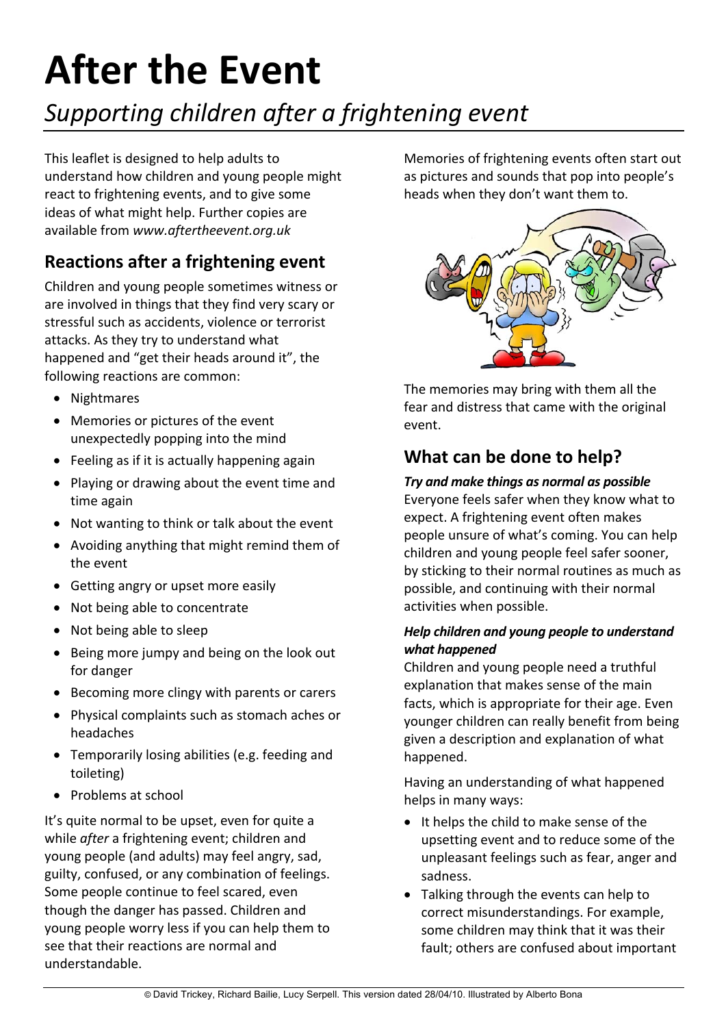# **After the Event**

# *Supporting children after a frightening event*

This leaflet is designed to help adults to understand how children and young people might react to frightening events, and to give some ideas of what might help. Further copies are available from *www.aftertheevent.org.uk*

# **Reactions after a frightening event**

Children and young people sometimes witness or are involved in things that they find very scary or stressful such as accidents, violence or terrorist attacks. As they try to understand what happened and "get their heads around it", the following reactions are common:

- Nightmares
- Memories or pictures of the event unexpectedly popping into the mind
- Feeling as if it is actually happening again
- Playing or drawing about the event time and time again
- Not wanting to think or talk about the event
- Avoiding anything that might remind them of the event
- Getting angry or upset more easily
- Not being able to concentrate
- Not being able to sleep
- Being more jumpy and being on the look out for danger
- Becoming more clingy with parents or carers
- Physical complaints such as stomach aches or headaches
- Temporarily losing abilities (e.g. feeding and toileting)
- Problems at school

It's quite normal to be upset, even for quite a while *after* a frightening event; children and young people (and adults) may feel angry, sad, guilty, confused, or any combination of feelings. Some people continue to feel scared, even though the danger has passed. Children and young people worry less if you can help them to see that their reactions are normal and understandable.

Memories of frightening events often start out as pictures and sounds that pop into people's heads when they don't want them to.



The memories may bring with them all the fear and distress that came with the original event.

## **What can be done to help?**

#### *Try and make things as normal as possible*

Everyone feels safer when they know what to expect. A frightening event often makes people unsure of what's coming. You can help children and young people feel safer sooner, by sticking to their normal routines as much as possible, and continuing with their normal activities when possible.

#### *Help children and young people to understand what happened*

Children and young people need a truthful explanation that makes sense of the main facts, which is appropriate for their age. Even younger children can really benefit from being given a description and explanation of what happened.

Having an understanding of what happened helps in many ways:

- It helps the child to make sense of the upsetting event and to reduce some of the unpleasant feelings such as fear, anger and sadness.
- Talking through the events can help to correct misunderstandings. For example, some children may think that it was their fault; others are confused about important